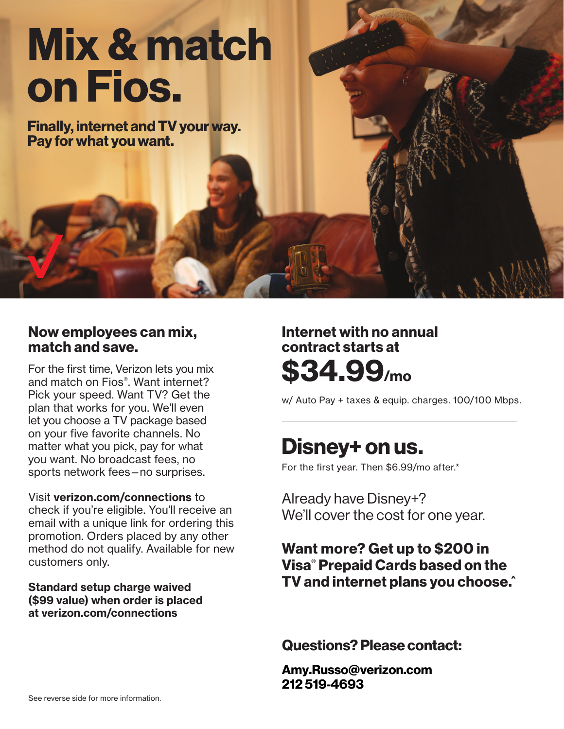# **[Mix & match](https://www.verizon.com/home/verizonconnections?CMP=OLA_CON_OTH_22222_NA_20160207_NA_NM20140767_00001) on Fios.**

**Finally, internet and TV your way. Pay for what you want.**

### **Now employees can mix, match and save.**

For the first time, Verizon lets you mix and match on Fios®. Want internet? Pick your speed. Want TV? Get the plan that works for you. We'll even let you choose a TV package based on your five favorite channels. No matter what you pick, pay for what you want. No broadcast fees, no sports network fees—no surprises.

#### Visit **verizon.com/connections** to check if you're eligible. You'll receive an email with a unique link for ordering this promotion. Orders placed by any other method do not qualify. Available for new customers only.

#### Standard setup charge waived (\$99 value) when order is placed at verizon.com/connections

## **Internet with no annual contract starts at \$34.99/mo**

w/ Auto Pay + taxes & equip. charges. 100/100 Mbps.

# **Disney+ on us.**

For the first year. Then \$6.99/mo after.\*

Already have Disney+? We'll cover the cost for one year.

## **Want more? Get up to \$200 in Visa® Prepaid Cards based on the TV and internet plans you choose.^**

**Questions? Please contact:**

**Amy.Russo@verizon.com 212 519-4693**